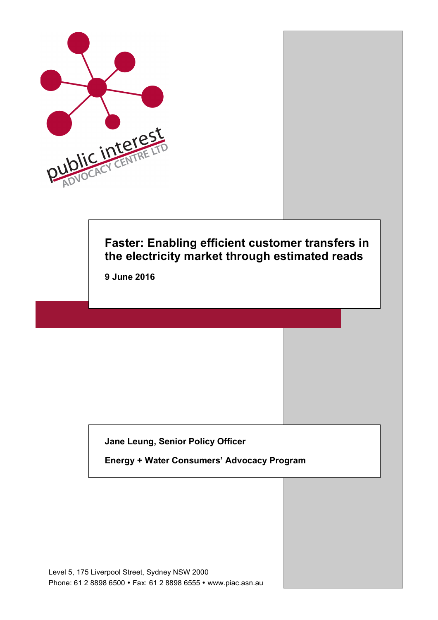

# **Faster: Enabling efficient customer transfers in the electricity market through estimated reads**

**9 June 2016**

**Jane Leung, Senior Policy Officer**

**Energy + Water Consumers' Advocacy Program**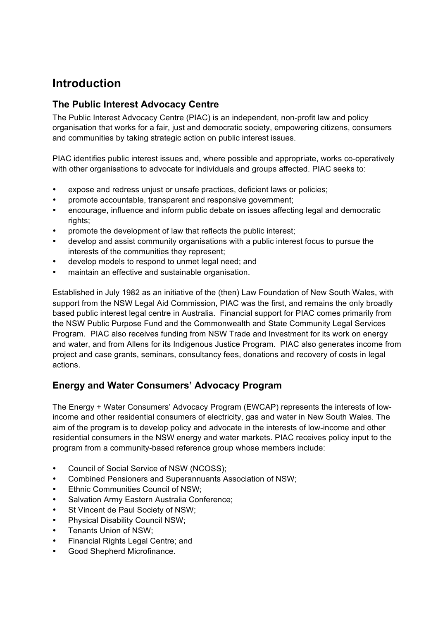## **Introduction**

## **The Public Interest Advocacy Centre**

The Public Interest Advocacy Centre (PIAC) is an independent, non-profit law and policy organisation that works for a fair, just and democratic society, empowering citizens, consumers and communities by taking strategic action on public interest issues.

PIAC identifies public interest issues and, where possible and appropriate, works co-operatively with other organisations to advocate for individuals and groups affected. PIAC seeks to:

- expose and redress unjust or unsafe practices, deficient laws or policies;
- promote accountable, transparent and responsive government;
- encourage, influence and inform public debate on issues affecting legal and democratic rights;
- promote the development of law that reflects the public interest;
- develop and assist community organisations with a public interest focus to pursue the interests of the communities they represent;
- develop models to respond to unmet legal need; and
- maintain an effective and sustainable organisation.

Established in July 1982 as an initiative of the (then) Law Foundation of New South Wales, with support from the NSW Legal Aid Commission, PIAC was the first, and remains the only broadly based public interest legal centre in Australia. Financial support for PIAC comes primarily from the NSW Public Purpose Fund and the Commonwealth and State Community Legal Services Program. PIAC also receives funding from NSW Trade and Investment for its work on energy and water, and from Allens for its Indigenous Justice Program. PIAC also generates income from project and case grants, seminars, consultancy fees, donations and recovery of costs in legal actions.

## **Energy and Water Consumers' Advocacy Program**

The Energy + Water Consumers' Advocacy Program (EWCAP) represents the interests of lowincome and other residential consumers of electricity, gas and water in New South Wales. The aim of the program is to develop policy and advocate in the interests of low-income and other residential consumers in the NSW energy and water markets. PIAC receives policy input to the program from a community-based reference group whose members include:

- Council of Social Service of NSW (NCOSS);
- Combined Pensioners and Superannuants Association of NSW;
- Ethnic Communities Council of NSW:
- Salvation Army Eastern Australia Conference;
- St Vincent de Paul Society of NSW;
- Physical Disability Council NSW;
- Tenants Union of NSW;
- Financial Rights Legal Centre; and
- Good Shepherd Microfinance.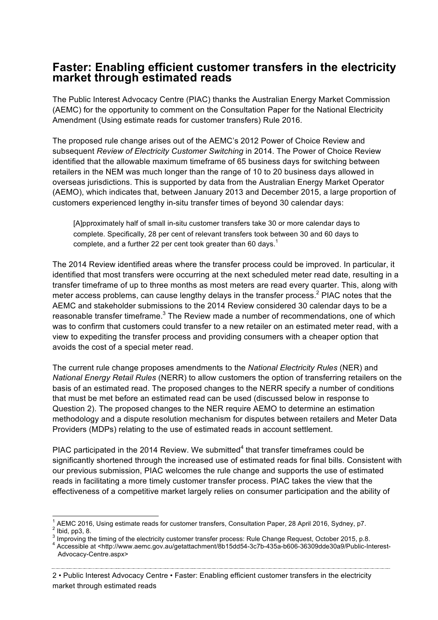## **Faster: Enabling efficient customer transfers in the electricity market through estimated reads**

The Public Interest Advocacy Centre (PIAC) thanks the Australian Energy Market Commission (AEMC) for the opportunity to comment on the Consultation Paper for the National Electricity Amendment (Using estimate reads for customer transfers) Rule 2016.

The proposed rule change arises out of the AEMC's 2012 Power of Choice Review and subsequent *Review of Electricity Customer Switching* in 2014. The Power of Choice Review identified that the allowable maximum timeframe of 65 business days for switching between retailers in the NEM was much longer than the range of 10 to 20 business days allowed in overseas jurisdictions. This is supported by data from the Australian Energy Market Operator (AEMO), which indicates that, between January 2013 and December 2015, a large proportion of customers experienced lengthy in-situ transfer times of beyond 30 calendar days:

[A]pproximately half of small in-situ customer transfers take 30 or more calendar days to complete. Specifically, 28 per cent of relevant transfers took between 30 and 60 days to complete, and a further 22 per cent took greater than 60 days.<sup>1</sup>

The 2014 Review identified areas where the transfer process could be improved. In particular, it identified that most transfers were occurring at the next scheduled meter read date, resulting in a transfer timeframe of up to three months as most meters are read every quarter. This, along with meter access problems, can cause lengthy delays in the transfer process.<sup>2</sup> PIAC notes that the AEMC and stakeholder submissions to the 2014 Review considered 30 calendar days to be a reasonable transfer timeframe.<sup>3</sup> The Review made a number of recommendations, one of which was to confirm that customers could transfer to a new retailer on an estimated meter read, with a view to expediting the transfer process and providing consumers with a cheaper option that avoids the cost of a special meter read.

The current rule change proposes amendments to the *National Electricity Rules* (NER) and *National Energy Retail Rules* (NERR) to allow customers the option of transferring retailers on the basis of an estimated read. The proposed changes to the NERR specify a number of conditions that must be met before an estimated read can be used (discussed below in response to Question 2). The proposed changes to the NER require AEMO to determine an estimation methodology and a dispute resolution mechanism for disputes between retailers and Meter Data Providers (MDPs) relating to the use of estimated reads in account settlement.

PIAC participated in the 2014 Review. We submitted $4$  that transfer timeframes could be significantly shortened through the increased use of estimated reads for final bills. Consistent with our previous submission, PIAC welcomes the rule change and supports the use of estimated reads in facilitating a more timely customer transfer process. PIAC takes the view that the effectiveness of a competitive market largely relies on consumer participation and the ability of

<sup>&</sup>lt;sup>1</sup> AEMC 2016, Using estimate reads for customer transfers, Consultation Paper, 28 April 2016, Sydney, p7.  $^{2}$  Ibid. pp3, 8.

 $^3$  Improving the timing of the electricity customer transfer process: Rule Change Request, October 2015, p.8.<br><sup>4</sup> Accessible at <http://www.aemc.gov.au/getattachment/8b15dd54-3c7b-435a-b606-36309dde30a9/Public-Interest-

Advocacy-Centre.aspx>

<sup>2</sup> • Public Interest Advocacy Centre • Faster: Enabling efficient customer transfers in the electricity market through estimated reads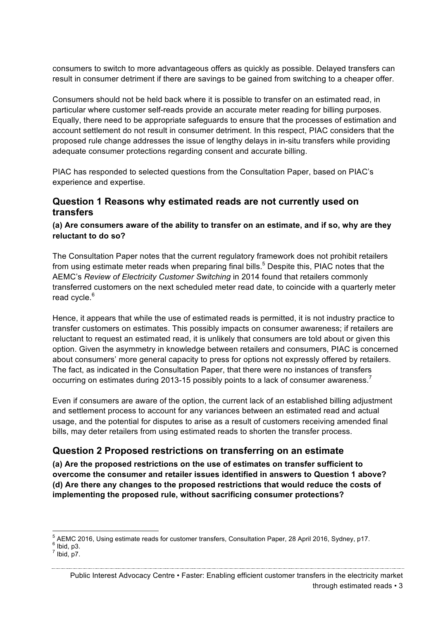consumers to switch to more advantageous offers as quickly as possible. Delayed transfers can result in consumer detriment if there are savings to be gained from switching to a cheaper offer.

Consumers should not be held back where it is possible to transfer on an estimated read, in particular where customer self-reads provide an accurate meter reading for billing purposes. Equally, there need to be appropriate safeguards to ensure that the processes of estimation and account settlement do not result in consumer detriment. In this respect, PIAC considers that the proposed rule change addresses the issue of lengthy delays in in-situ transfers while providing adequate consumer protections regarding consent and accurate billing.

PIAC has responded to selected questions from the Consultation Paper, based on PIAC's experience and expertise.

#### **Question 1 Reasons why estimated reads are not currently used on transfers**

#### **(a) Are consumers aware of the ability to transfer on an estimate, and if so, why are they reluctant to do so?**

The Consultation Paper notes that the current regulatory framework does not prohibit retailers from using estimate meter reads when preparing final bills.<sup>5</sup> Despite this, PIAC notes that the AEMC's *Review of Electricity Customer Switching* in 2014 found that retailers commonly transferred customers on the next scheduled meter read date, to coincide with a quarterly meter read cycle.<sup>6</sup>

Hence, it appears that while the use of estimated reads is permitted, it is not industry practice to transfer customers on estimates. This possibly impacts on consumer awareness; if retailers are reluctant to request an estimated read, it is unlikely that consumers are told about or given this option. Given the asymmetry in knowledge between retailers and consumers, PIAC is concerned about consumers' more general capacity to press for options not expressly offered by retailers. The fact, as indicated in the Consultation Paper, that there were no instances of transfers occurring on estimates during 2013-15 possibly points to a lack of consumer awareness.<sup>7</sup>

Even if consumers are aware of the option, the current lack of an established billing adjustment and settlement process to account for any variances between an estimated read and actual usage, and the potential for disputes to arise as a result of customers receiving amended final bills, may deter retailers from using estimated reads to shorten the transfer process.

## **Question 2 Proposed restrictions on transferring on an estimate**

**(a) Are the proposed restrictions on the use of estimates on transfer sufficient to overcome the consumer and retailer issues identified in answers to Question 1 above? (d) Are there any changes to the proposed restrictions that would reduce the costs of implementing the proposed rule, without sacrificing consumer protections?**

<sup>&</sup>lt;sup>5</sup> AEMC 2016, Using estimate reads for customer transfers, Consultation Paper, 28 April 2016, Sydney, p17.<br><sup>6</sup> Ibid, p3.<br><sup>7</sup> Ibid. p7.

Public Interest Advocacy Centre • Faster: Enabling efficient customer transfers in the electricity market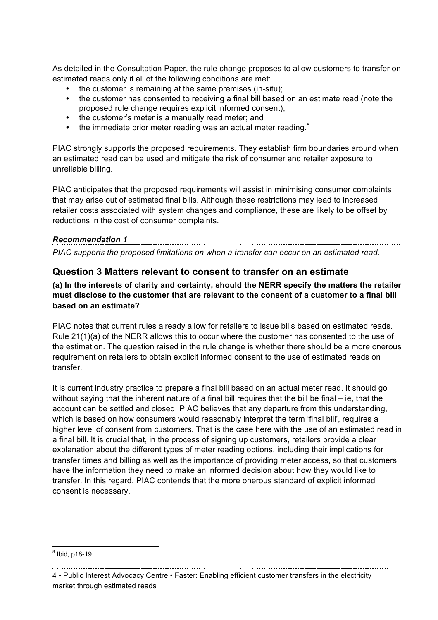As detailed in the Consultation Paper, the rule change proposes to allow customers to transfer on estimated reads only if all of the following conditions are met:

- the customer is remaining at the same premises (in-situ);
- the customer has consented to receiving a final bill based on an estimate read (note the proposed rule change requires explicit informed consent);
- the customer's meter is a manually read meter; and
- the immediate prior meter reading was an actual meter reading. $8$

PIAC strongly supports the proposed requirements. They establish firm boundaries around when an estimated read can be used and mitigate the risk of consumer and retailer exposure to unreliable billing.

PIAC anticipates that the proposed requirements will assist in minimising consumer complaints that may arise out of estimated final bills. Although these restrictions may lead to increased retailer costs associated with system changes and compliance, these are likely to be offset by reductions in the cost of consumer complaints.

## *Recommendation 1*

*PIAC supports the proposed limitations on when a transfer can occur on an estimated read.*

#### **Question 3 Matters relevant to consent to transfer on an estimate**

**(a) In the interests of clarity and certainty, should the NERR specify the matters the retailer must disclose to the customer that are relevant to the consent of a customer to a final bill based on an estimate?**

PIAC notes that current rules already allow for retailers to issue bills based on estimated reads. Rule 21(1)(a) of the NERR allows this to occur where the customer has consented to the use of the estimation. The question raised in the rule change is whether there should be a more onerous requirement on retailers to obtain explicit informed consent to the use of estimated reads on transfer.

It is current industry practice to prepare a final bill based on an actual meter read. It should go without saying that the inherent nature of a final bill requires that the bill be final – ie, that the account can be settled and closed. PIAC believes that any departure from this understanding, which is based on how consumers would reasonably interpret the term 'final bill', requires a higher level of consent from customers. That is the case here with the use of an estimated read in a final bill. It is crucial that, in the process of signing up customers, retailers provide a clear explanation about the different types of meter reading options, including their implications for transfer times and billing as well as the importance of providing meter access, so that customers have the information they need to make an informed decision about how they would like to transfer. In this regard, PIAC contends that the more onerous standard of explicit informed consent is necessary.

 <sup>8</sup> Ibid, p18-19.

<sup>4</sup> • Public Interest Advocacy Centre • Faster: Enabling efficient customer transfers in the electricity market through estimated reads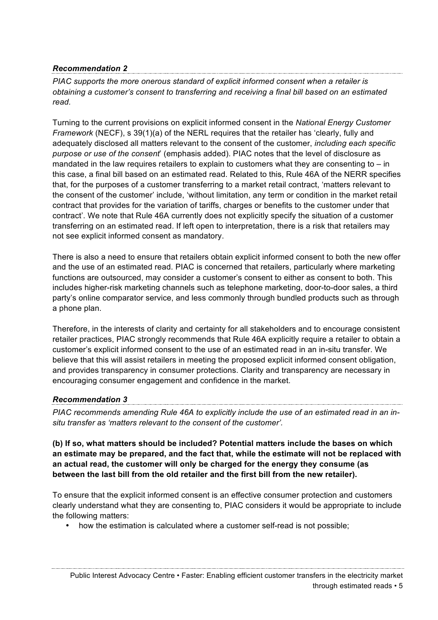*PIAC supports the more onerous standard of explicit informed consent when a retailer is obtaining a customer's consent to transferring and receiving a final bill based on an estimated read.*

Turning to the current provisions on explicit informed consent in the *National Energy Customer Framework* (NECF), s 39(1)(a) of the NERL requires that the retailer has 'clearly, fully and adequately disclosed all matters relevant to the consent of the customer, *including each specific purpose or use of the consent*' (emphasis added). PIAC notes that the level of disclosure as mandated in the law requires retailers to explain to customers what they are consenting to  $-$  in this case, a final bill based on an estimated read. Related to this, Rule 46A of the NERR specifies that, for the purposes of a customer transferring to a market retail contract, 'matters relevant to the consent of the customer' include, 'without limitation, any term or condition in the market retail contract that provides for the variation of tariffs, charges or benefits to the customer under that contract'. We note that Rule 46A currently does not explicitly specify the situation of a customer transferring on an estimated read. If left open to interpretation, there is a risk that retailers may not see explicit informed consent as mandatory.

There is also a need to ensure that retailers obtain explicit informed consent to both the new offer and the use of an estimated read. PIAC is concerned that retailers, particularly where marketing functions are outsourced, may consider a customer's consent to either as consent to both. This includes higher-risk marketing channels such as telephone marketing, door-to-door sales, a third party's online comparator service, and less commonly through bundled products such as through a phone plan.

Therefore, in the interests of clarity and certainty for all stakeholders and to encourage consistent retailer practices, PIAC strongly recommends that Rule 46A explicitly require a retailer to obtain a customer's explicit informed consent to the use of an estimated read in an in-situ transfer. We believe that this will assist retailers in meeting the proposed explicit informed consent obligation, and provides transparency in consumer protections. Clarity and transparency are necessary in encouraging consumer engagement and confidence in the market.

#### *Recommendation 3*

*PIAC recommends amending Rule 46A to explicitly include the use of an estimated read in an insitu transfer as 'matters relevant to the consent of the customer'.*

**(b) If so, what matters should be included? Potential matters include the bases on which an estimate may be prepared, and the fact that, while the estimate will not be replaced with an actual read, the customer will only be charged for the energy they consume (as between the last bill from the old retailer and the first bill from the new retailer).**

To ensure that the explicit informed consent is an effective consumer protection and customers clearly understand what they are consenting to, PIAC considers it would be appropriate to include the following matters:

• how the estimation is calculated where a customer self-read is not possible;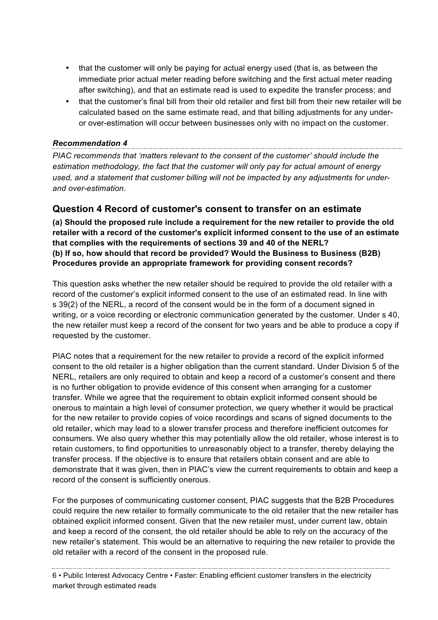- that the customer will only be paying for actual energy used (that is, as between the immediate prior actual meter reading before switching and the first actual meter reading after switching), and that an estimate read is used to expedite the transfer process; and
- that the customer's final bill from their old retailer and first bill from their new retailer will be calculated based on the same estimate read, and that billing adjustments for any underor over-estimation will occur between businesses only with no impact on the customer.

*PIAC recommends that 'matters relevant to the consent of the customer' should include the estimation methodology, the fact that the customer will only pay for actual amount of energy used, and a statement that customer billing will not be impacted by any adjustments for underand over-estimation.* 

## **Question 4 Record of customer's consent to transfer on an estimate**

**(a) Should the proposed rule include a requirement for the new retailer to provide the old retailer with a record of the customer's explicit informed consent to the use of an estimate that complies with the requirements of sections 39 and 40 of the NERL? (b) If so, how should that record be provided? Would the Business to Business (B2B) Procedures provide an appropriate framework for providing consent records?**

This question asks whether the new retailer should be required to provide the old retailer with a record of the customer's explicit informed consent to the use of an estimated read. In line with s 39(2) of the NERL, a record of the consent would be in the form of a document signed in writing, or a voice recording or electronic communication generated by the customer. Under s 40, the new retailer must keep a record of the consent for two years and be able to produce a copy if requested by the customer.

PIAC notes that a requirement for the new retailer to provide a record of the explicit informed consent to the old retailer is a higher obligation than the current standard. Under Division 5 of the NERL, retailers are only required to obtain and keep a record of a customer's consent and there is no further obligation to provide evidence of this consent when arranging for a customer transfer. While we agree that the requirement to obtain explicit informed consent should be onerous to maintain a high level of consumer protection, we query whether it would be practical for the new retailer to provide copies of voice recordings and scans of signed documents to the old retailer, which may lead to a slower transfer process and therefore inefficient outcomes for consumers. We also query whether this may potentially allow the old retailer, whose interest is to retain customers, to find opportunities to unreasonably object to a transfer, thereby delaying the transfer process. If the objective is to ensure that retailers obtain consent and are able to demonstrate that it was given, then in PIAC's view the current requirements to obtain and keep a record of the consent is sufficiently onerous.

For the purposes of communicating customer consent, PIAC suggests that the B2B Procedures could require the new retailer to formally communicate to the old retailer that the new retailer has obtained explicit informed consent. Given that the new retailer must, under current law, obtain and keep a record of the consent, the old retailer should be able to rely on the accuracy of the new retailer's statement. This would be an alternative to requiring the new retailer to provide the old retailer with a record of the consent in the proposed rule.

6 • Public Interest Advocacy Centre • Faster: Enabling efficient customer transfers in the electricity market through estimated reads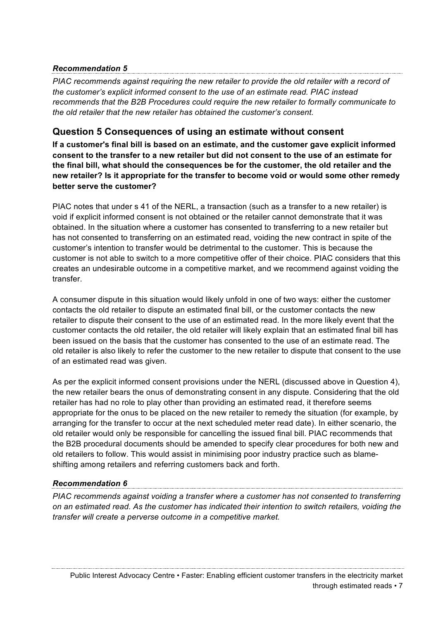*PIAC recommends against requiring the new retailer to provide the old retailer with a record of the customer's explicit informed consent to the use of an estimate read. PIAC instead recommends that the B2B Procedures could require the new retailer to formally communicate to the old retailer that the new retailer has obtained the customer's consent.*

## **Question 5 Consequences of using an estimate without consent**

**If a customer's final bill is based on an estimate, and the customer gave explicit informed consent to the transfer to a new retailer but did not consent to the use of an estimate for the final bill, what should the consequences be for the customer, the old retailer and the new retailer? Is it appropriate for the transfer to become void or would some other remedy better serve the customer?**

PIAC notes that under s 41 of the NERL, a transaction (such as a transfer to a new retailer) is void if explicit informed consent is not obtained or the retailer cannot demonstrate that it was obtained. In the situation where a customer has consented to transferring to a new retailer but has not consented to transferring on an estimated read, voiding the new contract in spite of the customer's intention to transfer would be detrimental to the customer. This is because the customer is not able to switch to a more competitive offer of their choice. PIAC considers that this creates an undesirable outcome in a competitive market, and we recommend against voiding the transfer.

A consumer dispute in this situation would likely unfold in one of two ways: either the customer contacts the old retailer to dispute an estimated final bill, or the customer contacts the new retailer to dispute their consent to the use of an estimated read. In the more likely event that the customer contacts the old retailer, the old retailer will likely explain that an estimated final bill has been issued on the basis that the customer has consented to the use of an estimate read. The old retailer is also likely to refer the customer to the new retailer to dispute that consent to the use of an estimated read was given.

As per the explicit informed consent provisions under the NERL (discussed above in Question 4), the new retailer bears the onus of demonstrating consent in any dispute. Considering that the old retailer has had no role to play other than providing an estimated read, it therefore seems appropriate for the onus to be placed on the new retailer to remedy the situation (for example, by arranging for the transfer to occur at the next scheduled meter read date). In either scenario, the old retailer would only be responsible for cancelling the issued final bill. PIAC recommends that the B2B procedural documents should be amended to specify clear procedures for both new and old retailers to follow. This would assist in minimising poor industry practice such as blameshifting among retailers and referring customers back and forth.

## *Recommendation 6*

*PIAC recommends against voiding a transfer where a customer has not consented to transferring on an estimated read. As the customer has indicated their intention to switch retailers, voiding the transfer will create a perverse outcome in a competitive market.*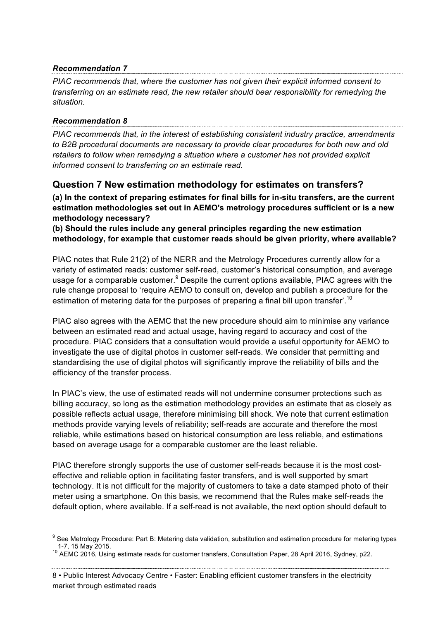*PIAC recommends that, where the customer has not given their explicit informed consent to transferring on an estimate read, the new retailer should bear responsibility for remedying the situation.*

#### *Recommendation 8*

*PIAC recommends that, in the interest of establishing consistent industry practice, amendments to B2B procedural documents are necessary to provide clear procedures for both new and old retailers to follow when remedying a situation where a customer has not provided explicit informed consent to transferring on an estimate read.*

## **Question 7 New estimation methodology for estimates on transfers?**

**(a) In the context of preparing estimates for final bills for in-situ transfers, are the current estimation methodologies set out in AEMO's metrology procedures sufficient or is a new methodology necessary?**

**(b) Should the rules include any general principles regarding the new estimation methodology, for example that customer reads should be given priority, where available?**

PIAC notes that Rule 21(2) of the NERR and the Metrology Procedures currently allow for a variety of estimated reads: customer self-read, customer's historical consumption, and average usage for a comparable customer.<sup>9</sup> Despite the current options available, PIAC agrees with the rule change proposal to 'require AEMO to consult on, develop and publish a procedure for the estimation of metering data for the purposes of preparing a final bill upon transfer'.<sup>10</sup>

PIAC also agrees with the AEMC that the new procedure should aim to minimise any variance between an estimated read and actual usage, having regard to accuracy and cost of the procedure. PIAC considers that a consultation would provide a useful opportunity for AEMO to investigate the use of digital photos in customer self-reads. We consider that permitting and standardising the use of digital photos will significantly improve the reliability of bills and the efficiency of the transfer process.

In PIAC's view, the use of estimated reads will not undermine consumer protections such as billing accuracy, so long as the estimation methodology provides an estimate that as closely as possible reflects actual usage, therefore minimising bill shock. We note that current estimation methods provide varying levels of reliability; self-reads are accurate and therefore the most reliable, while estimations based on historical consumption are less reliable, and estimations based on average usage for a comparable customer are the least reliable.

PIAC therefore strongly supports the use of customer self-reads because it is the most costeffective and reliable option in facilitating faster transfers, and is well supported by smart technology. It is not difficult for the majority of customers to take a date stamped photo of their meter using a smartphone. On this basis, we recommend that the Rules make self-reads the default option, where available. If a self-read is not available, the next option should default to

<sup>&</sup>lt;sup>9</sup> See Metrology Procedure: Part B: Metering data validation, substitution and estimation procedure for metering types 1-7, 15 May 2015.

<sup>&</sup>lt;sup>10</sup> AEMC 2016. Using estimate reads for customer transfers, Consultation Paper, 28 April 2016, Sydney, p22.

<sup>8</sup> • Public Interest Advocacy Centre • Faster: Enabling efficient customer transfers in the electricity market through estimated reads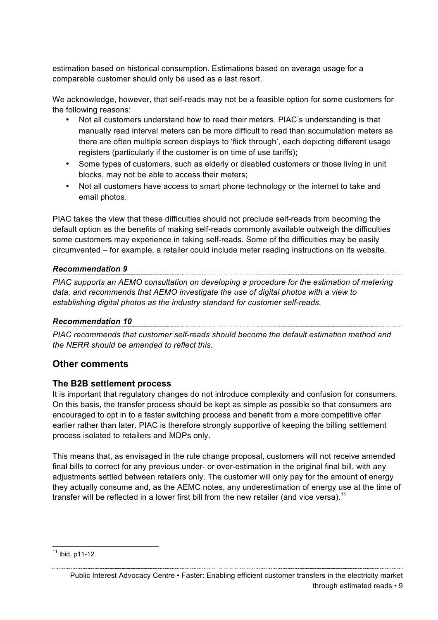estimation based on historical consumption. Estimations based on average usage for a comparable customer should only be used as a last resort.

We acknowledge, however, that self-reads may not be a feasible option for some customers for the following reasons:

- Not all customers understand how to read their meters. PIAC's understanding is that manually read interval meters can be more difficult to read than accumulation meters as there are often multiple screen displays to 'flick through', each depicting different usage registers (particularly if the customer is on time of use tariffs):
- Some types of customers, such as elderly or disabled customers or those living in unit blocks, may not be able to access their meters;
- Not all customers have access to smart phone technology or the internet to take and email photos.

PIAC takes the view that these difficulties should not preclude self-reads from becoming the default option as the benefits of making self-reads commonly available outweigh the difficulties some customers may experience in taking self-reads. Some of the difficulties may be easily circumvented – for example, a retailer could include meter reading instructions on its website.

#### *Recommendation 9*

*PIAC supports an AEMO consultation on developing a procedure for the estimation of metering data, and recommends that AEMO investigate the use of digital photos with a view to establishing digital photos as the industry standard for customer self-reads.*

## *Recommendation 10*

*PIAC recommends that customer self-reads should become the default estimation method and the NERR should be amended to reflect this.* 

#### **Other comments**

#### **The B2B settlement process**

It is important that regulatory changes do not introduce complexity and confusion for consumers. On this basis, the transfer process should be kept as simple as possible so that consumers are encouraged to opt in to a faster switching process and benefit from a more competitive offer earlier rather than later. PIAC is therefore strongly supportive of keeping the billing settlement process isolated to retailers and MDPs only.

This means that, as envisaged in the rule change proposal, customers will not receive amended final bills to correct for any previous under- or over-estimation in the original final bill, with any adjustments settled between retailers only. The customer will only pay for the amount of energy they actually consume and, as the AEMC notes, any underestimation of energy use at the time of transfer will be reflected in a lower first bill from the new retailer (and vice versa).<sup>11</sup>

 $11$  Ibid. p11-12.

<sup>&</sup>lt;u> 1989 - Johann John Stoff, fransk komponent (f. 1989)</u> Public Interest Advocacy Centre • Faster: Enabling efficient customer transfers in the electricity market